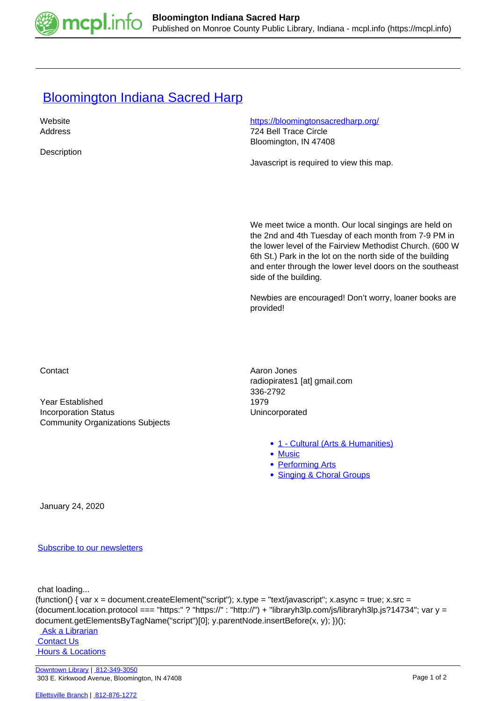

## **[Bloomington Indiana Sacred Harp](https://mcpl.info/commorg/bloomington-indiana-sacred-harp)**

| Website     | https://bloomingtonsacredharp.org/ |
|-------------|------------------------------------|
| Address     | 724 Bell Trace Circle              |
|             | Bloomington, IN 47408              |
| Description |                                    |

Javascript is required to view this map.

We meet twice a month. Our local singings are held on the 2nd and 4th Tuesday of each month from 7-9 PM in the lower level of the Fairview Methodist Church. (600 W 6th St.) Park in the lot on the north side of the building and enter through the lower level doors on the southeast side of the building.

Newbies are encouraged! Don't worry, loaner books are provided!

Year Established 1979 Incorporation Status **Incorporated** Community Organizations Subjects

Contact **Aaron Jones Aaron Jones Aaron Jones** radiopirates1 [at] gmail.com 336-2792

- [1 Cultural \(Arts & Humanities\)](https://mcpl.info/community-organization-subjects/24945)
- [Music](https://mcpl.info/taxonomy/term/25029)
- [Performing Arts](https://mcpl.info/taxonomy/term/25031)
- [Singing & Choral Groups](https://mcpl.info/taxonomy/term/25040)

January 24, 2020

[Subscribe to our newsletters](https://mcpl.info/geninfo/subscribe-think-library-newsletter)

chat loading...

```
(function() { var x = document.createElement("script"); x.type = "text/javascript"; x.async = true; x.src =
(document.location.protocol === "https:" ? "https://" : "http://") + "libraryh3lp.com/js/libraryh3lp.js?14734"; var y =
document.getElementsByTagName("script")[0]; y.parentNode.insertBefore(x, y); })();
```
 [Ask a Librarian](https://mcpl.info/askus) **Contact Us**  [Hours & Locations](https://mcpl.info/geninfo/hours-and-locations)